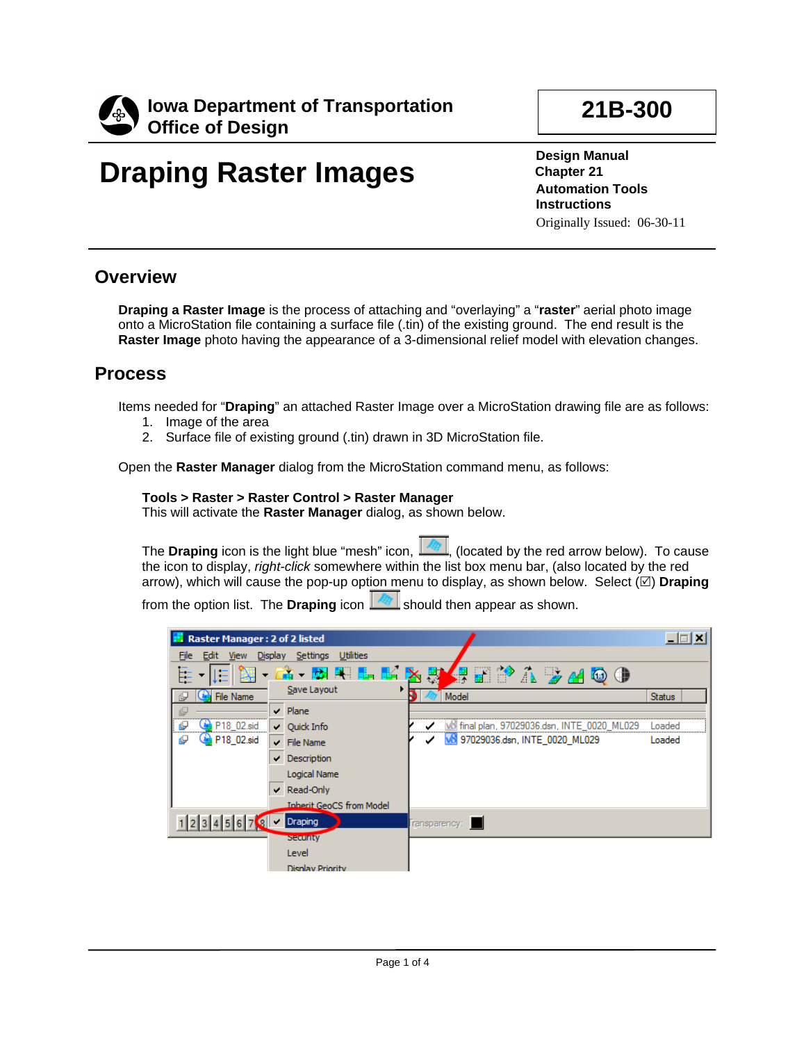

# **Draping Raster Images**

**21B-300**

**Design Manual Chapter 21 Automation Tools Instructions** Originally Issued: 06-30-11

### **Overview**

**Draping a Raster Image** is the process of attaching and "overlaying" a "**raster**" aerial photo image onto a MicroStation file containing a surface file (.tin) of the existing ground. The end result is the **Raster Image** photo having the appearance of a 3-dimensional relief model with elevation changes.

## **Process**

Items needed for "**Draping**" an attached Raster Image over a MicroStation drawing file are as follows:

- 1. Image of the area
- 2. Surface file of existing ground (.tin) drawn in 3D MicroStation file.

Open the **Raster Manager** dialog from the MicroStation command menu, as follows:

#### **Tools > Raster > Raster Control > Raster Manager**

This will activate the **Raster Manager** dialog, as shown below.

The **Draping** icon is the light blue "mesh" icon, **Readly** (located by the red arrow below). To cause the icon to display, *right-click* somewhere within the list box menu bar, (also located by the red arrow), which will cause the pop-up option menu to display, as shown below. Select  $(\boxtimes)$  **Draping** 

from the option list. The **Draping** icon **should** then appear as shown.

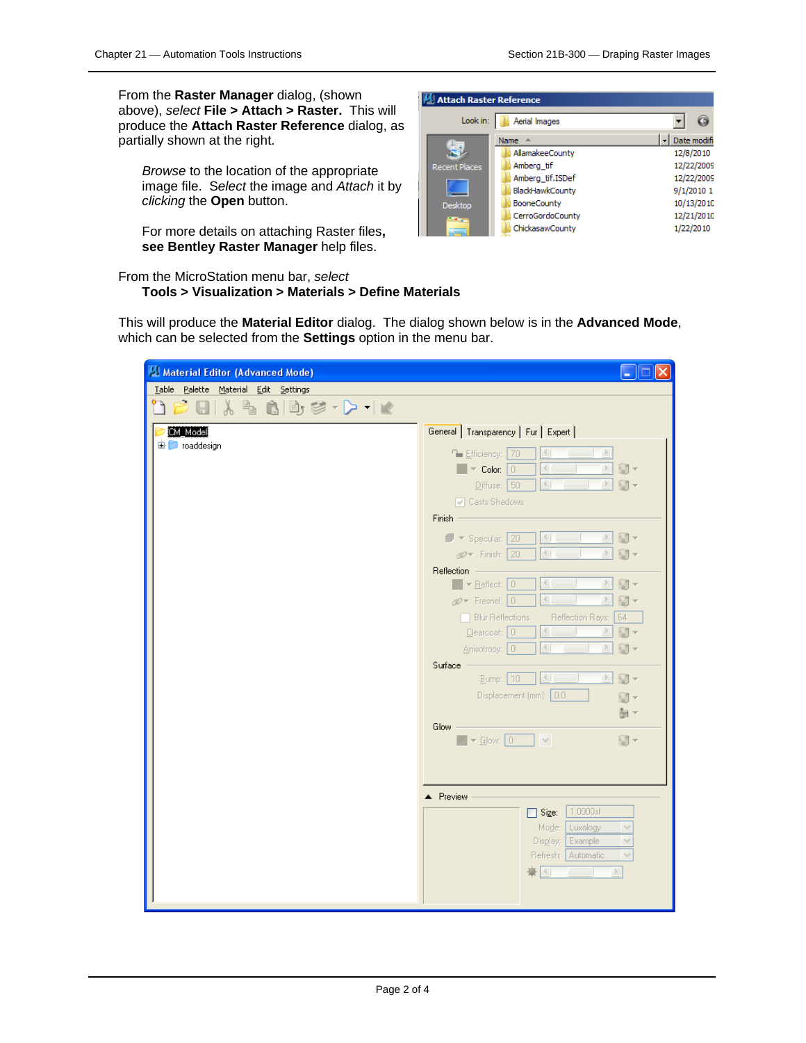From the **Raster Manager** dialog, (shown above), *select* **File > Attach > Raster.** This will produce the **Attach Raster Reference** dialog, as partially shown at the right.

*Browse* to the location of the appropriate image file. S*elect* the image and *Attach* it by *clicking* the **Open** button.

For more details on attaching Raster files**, see Bentley Raster Manager** help files.

From the MicroStation menu bar, *select* 

#### **Tools > Visualization > Materials > Define Materials**

Attach Raster Reference Look in: **Aerial Images** ⊻  $\Theta$  $\vert \cdot \vert$  Date modifi Name  $\triangle$ ٩ AllamakeeCounty 12/8/2010 12/22/2009 ent Places Amberg\_tif 12/22/2009 Amberg\_tif.ISDef BlackHawkCounty 9/1/2010 1 BooneCounty 10/13/2010 Desktop CerroGordoCounty 12/21/2010 ChickasawCounty 1/22/2010

This will produce the **Material Editor** dialog. The dialog shown below is in the **Advanced Mode**, which can be selected from the **Settings** option in the menu bar.

| Material Editor (Advanced Mode)                     | □                                                                                    |
|-----------------------------------------------------|--------------------------------------------------------------------------------------|
| Table Palette Material Edit Settings                |                                                                                      |
| $\lambda$ + $\alpha$ + $\beta$ + $\beta$ + $\alpha$ |                                                                                      |
| <b>CM Model</b>                                     | General Transparency   Fur   Expert                                                  |
| 由 roaddesign                                        | $\leq$<br><b>E</b> fficiency: 70                                                     |
|                                                     | 回门。<br>$\Box$ $\triangleright$ Color: $\Box$                                         |
|                                                     | $\rightarrow$<br>$\langle$<br>Diffuse: 50<br>$\Box$<br>and the state of              |
|                                                     | Casts Shadows                                                                        |
|                                                     | $Finish =$                                                                           |
|                                                     | $\Box$ -<br>$\blacksquare$ $\blacktriangleright$ Specular: 20<br>$\geq$              |
|                                                     | $\mathscr{D}$ Finish: 20<br>印っ<br>$\geq$                                             |
|                                                     | Reflection                                                                           |
|                                                     | $\sqrt{\phantom{a}}$ $\sqrt{\phantom{a}}$ Reflect: $\boxed{0}$<br>$\geq$<br>$\Box$ - |
|                                                     | $\left\langle \cdot \right\rangle$<br>印。<br>$\geq$<br>$\mathscr{D}$ Fresnel: 0       |
|                                                     | <b>Blur Reflections</b><br>Reflection Rays:<br>  64                                  |
|                                                     | $C$ learcoat: $0$<br>$\geq$<br>■▼                                                    |
|                                                     | $\left\langle \cdot \right\rangle$<br>$\geq$<br>$\Box$ -<br>Anisotropy: 0            |
|                                                     | Surface<br>印一<br>$\left\  \cdot \right\ $<br>$\geq$                                  |
|                                                     | Bump:   10<br>Displacement (mm): 0.0                                                 |
|                                                     | u -                                                                                  |
|                                                     | 引っ<br><b>Glow</b>                                                                    |
|                                                     | $\rightarrow$ 5 Glow: 0 $\rightarrow$<br>Ⅲ×                                          |
|                                                     |                                                                                      |
|                                                     |                                                                                      |
|                                                     |                                                                                      |
|                                                     | ▲ Preview<br>1.0000sf                                                                |
|                                                     | $\Box$ Size:<br>Mode:<br>Luxology<br>$\vee$                                          |
|                                                     | Display:<br>Example<br>$\vee$                                                        |
|                                                     | Refresh:   Automatic<br>$\vee$                                                       |
|                                                     | 배치<br>$\geq$<br><b>Contract Contract</b>                                             |
|                                                     |                                                                                      |
|                                                     |                                                                                      |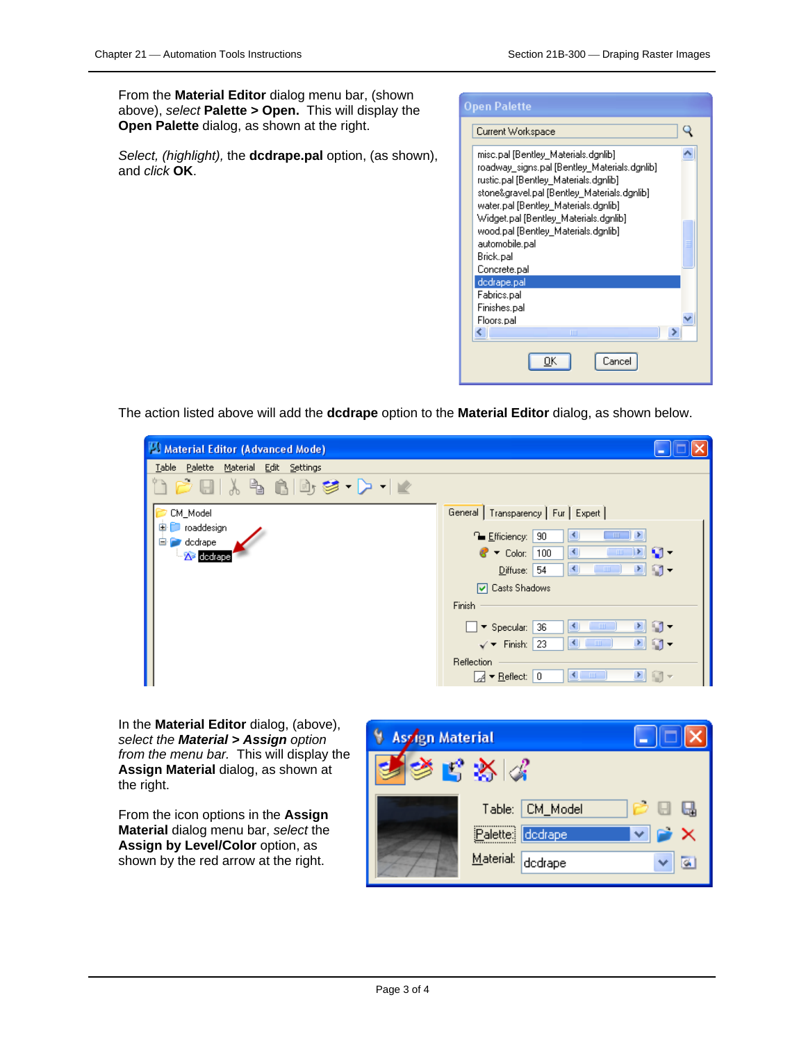From the **Material Editor** dialog menu bar, (shown above), *select* **Palette > Open.** This will display the **Open Palette** dialog, as shown at the right.

*Select, (highlight),* the **dcdrape.pal** option, (as shown), and *click* **OK**.



The action listed above will add the **dcdrape** option to the **Material Editor** dialog, as shown below.

| Material Editor (Advanced Mode)                            |                                                                                                 |
|------------------------------------------------------------|-------------------------------------------------------------------------------------------------|
| Table Palette Material Edit Settings                       |                                                                                                 |
| $1\leq i\leq k$ to $i\leq k$ . The $i\leq k$               |                                                                                                 |
| CM_Model                                                   | General   Transparency   Fur   Expert                                                           |
| 由<br>roaddesign<br>dodrape<br>Ėŀ<br>A <sup>3</sup> dedrape | <sup>∩</sup> Efficiency:<br>90<br>$\blacksquare$                                                |
|                                                            | $\Omega$ -<br>В<br>D≻<br>$\bullet$ $\bullet$ Color:<br>100<br>$\parallel$ IIII                  |
|                                                            | 回行・<br>K<br>Diffuse: 54<br>$\sim$ 1111 $\sim$                                                   |
|                                                            | □ Casts Shadows                                                                                 |
|                                                            | Finish                                                                                          |
|                                                            | $\Box$<br>$\blacktriangleright$<br>$\blacktriangleright$ Specular:<br>36<br>$\blacksquare$<br>к |
|                                                            | d g-<br>$\sqrt{\bullet}$ Finish:<br>23<br>$\blacksquare$<br>к                                   |
|                                                            | Reflection                                                                                      |
|                                                            | $\left  \cdot \right $<br>回向。<br>$\sqrt{4}$ $\blacktriangleright$ Reflect:<br>0                 |

In the **Material Editor** dialog, (above), *select the Material > Assign option from the menu bar.* This will display the **Assign Material** dialog, as shown at the right.

From the icon options in the **Assign Material** dialog menu bar, *select* the **Assign by Level/Color** option, as shown by the red arrow at the right.

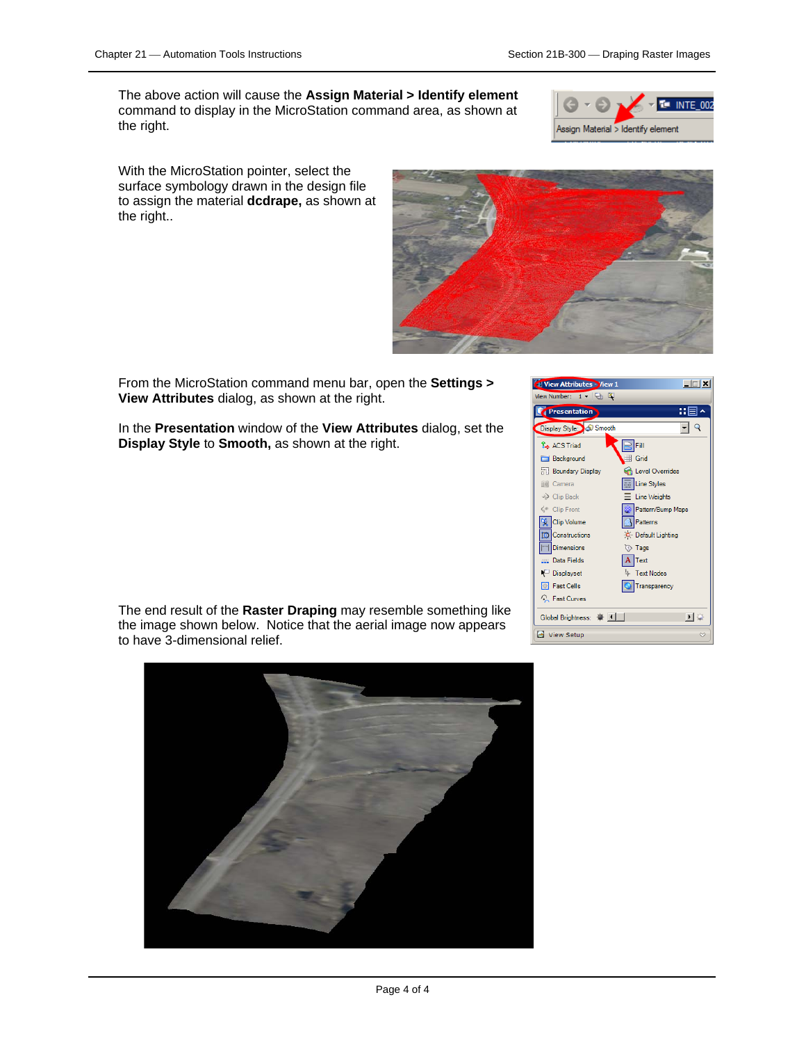The above action will cause the **Assign Material > Identify element**  command to display in the MicroStation command area, as shown at the right.



With the MicroStation pointer, select the surface symbology drawn in the design file to assign the material **dcdrape,** as shown at the right..



From the MicroStation command menu bar, open the **Settings > View Attributes** dialog, as shown at the right.

In the **Presentation** window of the **View Attributes** dialog, set the **Display Style** to **Smooth,** as shown at the right.